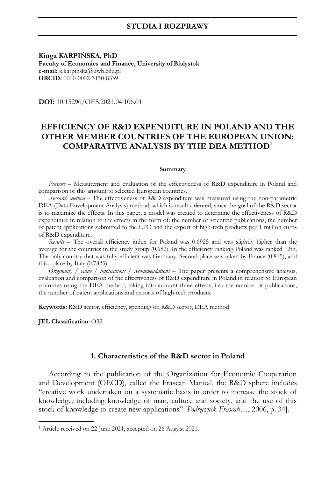## **STUDIA I ROZPRAWY**

**Kinga KARPIŃSKA, PhD Faculty of Economics and Finance, University of Bialystok e-mail:** k.karpinska@uwb.edu.pl **ORCID:** 0000-0002-3150-8339

**DOI:** 10.15290/OES.2021.04.106.01

# **EFFICIENCY OF R&D EXPENDITURE IN POLAND AND THE OTHER MEMBER COUNTRIES OF THE EUROPEAN UNION: COMPARATIVE ANALYSIS BY THE DEA METHOD**<sup>1</sup>

#### **Summary**

*Purpose –* Measurement and evaluation of the effectiveness of R&D expenditure in Poland and comparison of this amount to selected European countries.

*Research method –* The effectiveness of R&D expenditure was measured using the non-parametric DEA (Data Envelopment Analysis) method, which is result-oriented, since the goal of the R&D sector is to maximize the effects. In this paper, a model was created to determine the effectiveness of R&D expenditure in relation to the effects in the form of: the number of scientific publications, the number of patent applications submitted to the EPO and the export of high-tech products per 1 million euros of R&D expenditure.

*Results –* The overall efficiency index for Poland was 0.6925 and was slightly higher than the average for the countries in the study group (0.682). In the efficiency ranking Poland was ranked 12th. The only country that was fully efficient was Germany. Second place was taken by France (0.815), and third place by Italy (0.7825).

*Originality / value / implications / recommendations –* The paper presents a comprehensive analysis, evaluation and comparison of the effectiveness of R&D expenditure in Poland in relation to European countries using the DEA method, taking into account three effects, i.e.: the number of publications, the number of patent applications and exports of high-tech products.

**Keywords**: R&D sector, efficiency, spending on R&D sector, DEA method

**JEL Classification**: O32

-

### **1. Characteristics of the R&D sector in Poland**

According to the publication of the Organization for Economic Cooperation and Development (OECD), called the Frascati Manual, the R&D sphere includes "creative work undertaken on a systematic basis in order to increase the stock of knowledge, including knowledge of man, culture and society, and the use of this stock of knowledge to create new applications" [*Podręcznik Frascati…*, 2006, p. 34].

<sup>1</sup> Article received on 22 June 2021, accepted on 26 August 2021.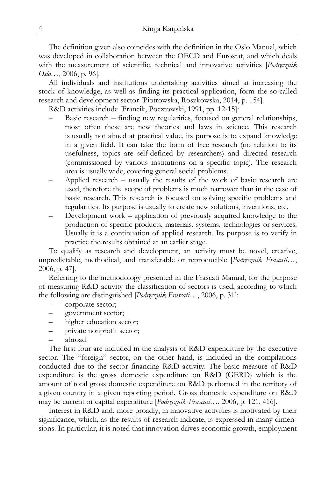The definition given also coincides with the definition in the Oslo Manual, which was developed in collaboration between the OECD and Eurostat, and which deals with the measurement of scientific, technical and innovative activities [*Podręcznik Oslo…*, 2006, p. 96].

All individuals and institutions undertaking activities aimed at increasing the stock of knowledge, as well as finding its practical application, form the so-called research and development sector [Piotrowska, Roszkowska, 2014, p. 154].

R&D activities include [Francik, Pocztowski, 1991, pp. 12-15]:

- Basic research finding new regularities, focused on general relationships, most often these are new theories and laws in science. This research is usually not aimed at practical value, its purpose is to expand knowledge in a given field. It can take the form of free research (no relation to its usefulness, topics are self-defined by researchers) and directed research (commissioned by various institutions on a specific topic). The research area is usually wide, covering general social problems.
- Applied research usually the results of the work of basic research are used, therefore the scope of problems is much narrower than in the case of basic research. This research is focused on solving specific problems and regularities. Its purpose is usually to create new solutions, inventions, etc.
- Development work application of previously acquired knowledge to the production of specific products, materials, systems, technologies or services. Usually it is a continuation of applied research. Its purpose is to verify in practice the results obtained at an earlier stage.

To qualify as research and development, an activity must be novel, creative, unpredictable, methodical, and transferable or reproducible [*Podręcznik Frascati…*, 2006, p. 47].

Referring to the methodology presented in the Frascati Manual, for the purpose of measuring R&D activity the classification of sectors is used, according to which the following are distinguished [*Podręcznik Frascati…*, 2006, p. 31]:

- corporate sector;
- government sector;
- higher education sector;
- private nonprofit sector;
- abroad.

The first four are included in the analysis of R&D expenditure by the executive sector. The "foreign" sector, on the other hand, is included in the compilations conducted due to the sector financing R&D activity. The basic measure of R&D expenditure is the gross domestic expenditure on R&D (GERD) which is the amount of total gross domestic expenditure on R&D performed in the territory of a given country in a given reporting period. Gross domestic expenditure on R&D may be current or capital expenditure [*Podręcznik Frascati…*, 2006, p. 121, 416].

Interest in R&D and, more broadly, in innovative activities is motivated by their significance, which, as the results of research indicate, is expressed in many dimensions. In particular, it is noted that innovation drives economic growth, employment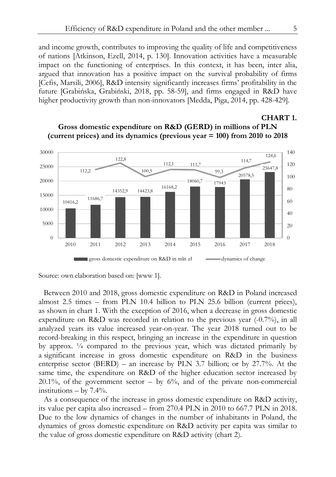and income growth, contributes to improving the quality of life and competitiveness of nations [Atkinson, Ezell, 2014, p. 130]. Innovation activities have a measurable impact on the functioning of enterprises. In this context, it has been, inter alia, argued that innovation has a positive impact on the survival probability of firms [Cefis, Marsili, 2006], R&D intensity significantly increases firms' profitability in the future [Grabińska, Grabiński, 2018, pp. 58-59], and firms engaged in R&D have higher productivity growth than non-innovators [Medda, Piga, 2014, pp. 428-429].

#### 10416,2 11686,7 14352,9 14423,8 16168,2  $18060,7 - 17943$ 20578,5  $112,2$   $100,5$   $25647,8$ 122,8 100,5 112,1 111,7 99,3 114,7 124,6  $\theta$ 20 40 60 80 100 120 140 0 5000 10000 15000 20000 25000 30000 2010 2011 2012 2013 2014 2015 2016 2017 2018 gross domestic expenditure on R&D in mln zł dynamics of change

# **Gross domestic expenditure on R&D (GERD) in millions of PLN (current prices) and its dynamics (previous year = 100) from 2010 to 2018**

Source: own elaboration based on: [www 1].

Between 2010 and 2018, gross domestic expenditure on R&D in Poland increased almost 2.5 times – from PLN 10.4 billion to PLN 25.6 billion (current prices), as shown in chart 1. With the exception of 2016, when a decrease in gross domestic expenditure on R&D was recorded in relation to the previous year (-0.7%), in all analyzed years its value increased year-on-year. The year 2018 turned out to be record-breaking in this respect, bringing an increase in the expenditure in question by approx. ¼ compared to the previous year, which was dictated primarily by a significant increase in gross domestic expenditure on R&D in the business enterprise sector (BERD) – an increase by PLN 3.7 billion; or by 27.7%. At the same time, the expenditure on R&D of the higher education sector increased by  $20.1\%$ , of the government sector – by 6%, and of the private non-commercial institutions  $-$  by 7.4%.

As a consequence of the increase in gross domestic expenditure on R&D activity, its value per capita also increased – from 270.4 PLN in 2010 to 667.7 PLN in 2018. Due to the low dynamics of changes in the number of inhabitants in Poland, the dynamics of gross domestic expenditure on R&D activity per capita was similar to the value of gross domestic expenditure on R&D activity (chart 2).

**CHART 1.**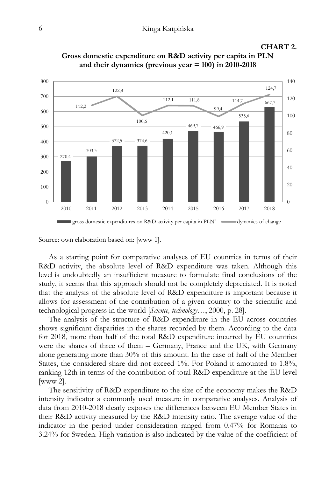## **CHART 2.**



**Gross domestic expenditure on R&D activity per capita in PLN and their dynamics (previous year = 100) in 2010-2018** 

Source: own elaboration based on: [www 1].

As a starting point for comparative analyses of EU countries in terms of their R&D activity, the absolute level of R&D expenditure was taken. Although this level is undoubtedly an insufficient measure to formulate final conclusions of the study, it seems that this approach should not be completely depreciated. It is noted that the analysis of the absolute level of R&D expenditure is important because it allows for assessment of the contribution of a given country to the scientific and technological progress in the world [*Science, technology…*, 2000, p. 28].

The analysis of the structure of R&D expenditure in the EU across countries shows significant disparities in the shares recorded by them. According to the data for 2018, more than half of the total R&D expenditure incurred by EU countries were the shares of three of them – Germany, France and the UK, with Germany alone generating more than 30% of this amount. In the case of half of the Member States, the considered share did not exceed 1%. For Poland it amounted to 1.8%, ranking 12th in terms of the contribution of total R&D expenditure at the EU level [www 2].

The sensitivity of R&D expenditure to the size of the economy makes the R&D intensity indicator a commonly used measure in comparative analyses. Analysis of data from 2010-2018 clearly exposes the differences between EU Member States in their R&D activity measured by the R&D intensity ratio. The average value of the indicator in the period under consideration ranged from 0.47% for Romania to 3.24% for Sweden. High variation is also indicated by the value of the coefficient of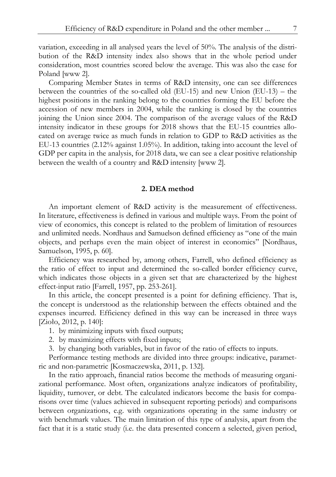variation, exceeding in all analysed years the level of 50%. The analysis of the distribution of the R&D intensity index also shows that in the whole period under consideration, most countries scored below the average. This was also the case for Poland [www 2].

Comparing Member States in terms of R&D intensity, one can see differences between the countries of the so-called old (EU-15) and new Union (EU-13) – the highest positions in the ranking belong to the countries forming the EU before the accession of new members in 2004, while the ranking is closed by the countries joining the Union since 2004. The comparison of the average values of the R&D intensity indicator in these groups for 2018 shows that the EU-15 countries allocated on average twice as much funds in relation to GDP to R&D activities as the EU-13 countries (2.12% against 1.05%). In addition, taking into account the level of GDP per capita in the analysis, for 2018 data, we can see a clear positive relationship between the wealth of a country and R&D intensity [www 2].

## **2. DEA method**

An important element of R&D activity is the measurement of effectiveness. In literature, effectiveness is defined in various and multiple ways. From the point of view of economics, this concept is related to the problem of limitation of resources and unlimited needs. Nordhaus and Samuelson defined efficiency as "one of the main objects, and perhaps even the main object of interest in economics" [Nordhaus, Samuelson, 1995, p. 60].

Efficiency was researched by, among others, Farrell, who defined efficiency as the ratio of effect to input and determined the so-called border efficiency curve, which indicates those objects in a given set that are characterized by the highest effect-input ratio [Farrell, 1957, pp. 253-261].

In this article, the concept presented is a point for defining efficiency. That is, the concept is understood as the relationship between the effects obtained and the expenses incurred. Efficiency defined in this way can be increased in three ways [Zioło, 2012, p. 140]:

- 1. by minimizing inputs with fixed outputs;
- 2. by maximizing effects with fixed inputs;
- 3. by changing both variables, but in favor of the ratio of effects to inputs.

Performance testing methods are divided into three groups: indicative, parametric and non-parametric [Kosmaczewska, 2011, p. 132].

In the ratio approach, financial ratios become the methods of measuring organizational performance. Most often, organizations analyze indicators of profitability, liquidity, turnover, or debt. The calculated indicators become the basis for comparisons over time (values achieved in subsequent reporting periods) and comparisons between organizations, e.g. with organizations operating in the same industry or with benchmark values. The main limitation of this type of analysis, apart from the fact that it is a static study (i.e. the data presented concern a selected, given period,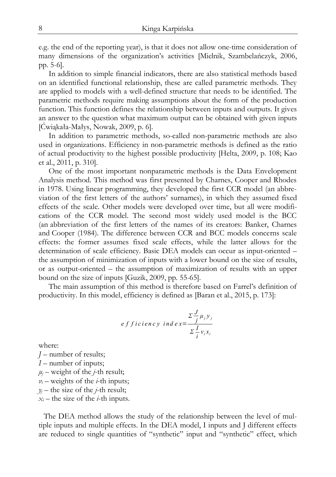e.g. the end of the reporting year), is that it does not allow one-time consideration of many dimensions of the organization's activities [Mielnik, Szambelańczyk, 2006, pp. 5-6].

In addition to simple financial indicators, there are also statistical methods based on an identified functional relationship, these are called parametric methods. They are applied to models with a well-defined structure that needs to be identified. The parametric methods require making assumptions about the form of the production function. This function defines the relationship between inputs and outputs. It gives an answer to the question what maximum output can be obtained with given inputs [Ćwiąkała-Małys, Nowak, 2009, p. 6].

In addition to parametric methods, so-called non-parametric methods are also used in organizations. Efficiency in non-parametric methods is defined as the ratio of actual productivity to the highest possible productivity [Helta, 2009, p. 108; Kao et al., 2011, p. 310].

One of the most important nonparametric methods is the Data Envelopment Analysis method. This method was first presented by Charnes, Cooper and Rhodes in 1978. Using linear programming, they developed the first CCR model (an abbreviation of the first letters of the authors' surnames), in which they assumed fixed effects of the scale. Other models were developed over time, but all were modifications of the CCR model. The second most widely used model is the BCC (an abbreviation of the first letters of the names of its creators: Banker, Charnes and Cooper (1984). The difference between CCR and BCC models concerns scale effects: the former assumes fixed scale effects, while the latter allows for the determination of scale efficiency. Basic DEA models can occur as input-oriented – the assumption of minimization of inputs with a lower bound on the size of results, or as output-oriented – the assumption of maximization of results with an upper bound on the size of inputs [Guzik, 2009, pp. 55-65].

The main assumption of this method is therefore based on Farrel's definition of productivity. In this model, efficiency is defined as [Baran et al., 2015, p. 173]:

$$
efficiency \text{ } index = \frac{\sum_{j}^{J} \mu_{j} y_{j}}{\sum_{i}^{I} v_{i} x_{i}}
$$

where:

*J* – number of results; *I* – number of inputs;  $\mu$ <sup>*j*</sup> – weight of the *j*-th result; *νi* – weights of the *i*-th inputs;  $y_i$  – the size of the *j*-th result;  $x_i$  – the size of the *i*-th inputs.

The DEA method allows the study of the relationship between the level of multiple inputs and multiple effects. In the DEA model, I inputs and J different effects are reduced to single quantities of "synthetic" input and "synthetic" effect, which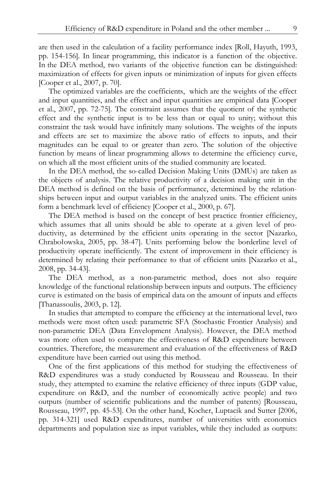are then used in the calculation of a facility performance index [Roll, Hayuth, 1993, pp. 154-156]. In linear programming, this indicator is a function of the objective. In the DEA method, two variants of the objective function can be distinguished: maximization of effects for given inputs or minimization of inputs for given effects [Cooper et al., 2007, p. 70].

The optimized variables are the coefficients, which are the weights of the effect and input quantities, and the effect and input quantities are empirical data [Cooper et al., 2007, pp. 72-75]. The constraint assumes that the quotient of the synthetic effect and the synthetic input is to be less than or equal to unity; without this constraint the task would have infinitely many solutions. The weights of the inputs and effects are set to maximize the above ratio of effects to inputs, and their magnitudes can be equal to or greater than zero. The solution of the objective function by means of linear programming allows to determine the efficiency curve, on which all the most efficient units of the studied community are located.

In the DEA method, the so-called Decision Making Units (DMUs) are taken as the objects of analysis. The relative productivity of a decision making unit in the DEA method is defined on the basis of performance, determined by the relationships between input and output variables in the analyzed units. The efficient units form a benchmark level of efficiency [Cooper et al., 2000, p. 67].

The DEA method is based on the concept of best practice frontier efficiency, which assumes that all units should be able to operate at a given level of productivity, as determined by the efficient units operating in the sector [Nazarko, Chrabołowska, 2005, pp. 38-47]. Units performing below the borderline level of productivity operate inefficiently. The extent of improvement in their efficiency is determined by relating their performance to that of efficient units [Nazarko et al., 2008, pp. 34-43].

The DEA method, as a non-parametric method, does not also require knowledge of the functional relationship between inputs and outputs. The efficiency curve is estimated on the basis of empirical data on the amount of inputs and effects [Thanassoulis, 2003, p. 12].

In studies that attempted to compare the efficiency at the international level, two methods were most often used: parametric SFA (Stochastic Frontier Analysis) and non-parametric DEA (Data Envelopment Analysis). However, the DEA method was more often used to compare the effectiveness of R&D expenditure between countries. Therefore, the measurement and evaluation of the effectiveness of R&D expenditure have been carried out using this method.

One of the first applications of this method for studying the effectiveness of R&D expenditures was a study conducted by Rousseau and Rousseau. In their study, they attempted to examine the relative efficiency of three inputs (GDP value, expenditure on R&D, and the number of economically active people) and two outputs (number of scientific publications and the number of patents) [Rousseau, Rousseau, 1997, pp. 45-53]. On the other hand, Kocher, Luptacik and Sutter [2006, pp. 314-321] used R&D expenditures, number of universities with economics departments and population size as input variables, while they included as outputs: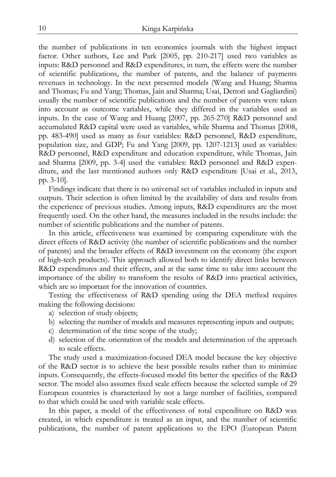the number of publications in ten economics journals with the highest impact factor. Other authors, Lee and Park [2005, pp. 210-217] used two variables as inputs: R&D personnel and R&D expenditures, in turn, the effects were the number of scientific publications, the number of patents, and the balance of payments revenues in technology. In the next presented models (Wang and Huang; Sharma and Thomas; Fu and Yang; Thomas, Jain and Sharma; Usai, Dettori and Gagliardini) usually the number of scientific publications and the number of patents were taken into account as outcome variables, while they differed in the variables used as inputs. In the case of Wang and Huang [2007, pp. 265-270] R&D personnel and accumulated R&D capital were used as variables, while Sharma and Thomas [2008, pp. 483-490] used as many as four variables: R&D personnel, R&D expenditure, population size, and GDP; Fu and Yang [2009, pp. 1207-1213] used as variables: R&D personnel, R&D expenditure and education expenditure, while Thomas, Jain and Sharma [2009, pp. 3-4] used the variables: R&D personnel and R&D expenditure, and the last mentioned authors only R&D expenditure [Usai et al., 2013, pp. 3-10].

Findings indicate that there is no universal set of variables included in inputs and outputs. Their selection is often limited by the availability of data and results from the experience of previous studies. Among inputs, R&D expenditures are the most frequently used. On the other hand, the measures included in the results include: the number of scientific publications and the number of patents.

In this article, effectiveness was examined by comparing expenditure with the direct effects of R&D activity (the number of scientific publications and the number of patents) and the broader effects of R&D investment on the economy (the export of high-tech products). This approach allowed both to identify direct links between R&D expenditures and their effects, and at the same time to take into account the importance of the ability to transform the results of R&D into practical activities, which are so important for the innovation of countries.

Testing the effectiveness of R&D spending using the DEA method requires making the following decisions:

- a) selection of study objects;
- b) selecting the number of models and measures representing inputs and outputs;
- c) determination of the time scope of the study;
- d) selection of the orientation of the models and determination of the approach to scale effects.

The study used a maximization-focused DEA model because the key objective of the R&D sector is to achieve the best possible results rather than to minimize inputs. Consequently, the effects-focused model fits better the specifics of the R&D sector. The model also assumes fixed scale effects because the selected sample of 29 European countries is characterized by not a large number of facilities, compared to that which could be used with variable scale effects.

In this paper, a model of the effectiveness of total expenditure on R&D was created, in which expenditure is treated as an input, and the number of scientific publications, the number of patent applications to the EPO (European Patent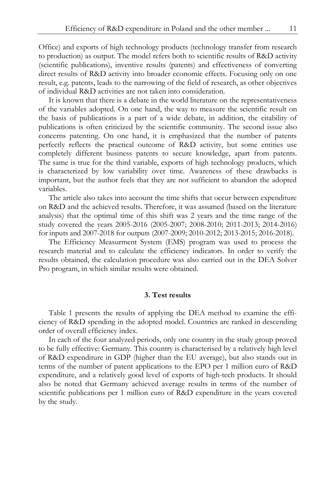Office) and exports of high technology products (technology transfer from research to production) as output. The model refers both to scientific results of R&D activity (scientific publications), inventive results (patents) and effectiveness of converting direct results of R&D activity into broader economic effects. Focusing only on one result, e.g. patents, leads to the narrowing of the field of research, as other objectives of individual R&D activities are not taken into consideration.

It is known that there is a debate in the world literature on the representativeness of the variables adopted. On one hand, the way to measure the scientific result on the basis of publications is a part of a wide debate, in addition, the citability of publications is often criticized by the scientific community. The second issue also concerns patenting. On one hand, it is emphasized that the number of patents perfectly reflects the practical outcome of R&D activity, but some entities use completely different business patents to secure knowledge, apart from patents. The same is true for the third variable, exports of high technology products, which is characterized by low variability over time. Awareness of these drawbacks is important, but the author feels that they are not sufficient to abandon the adopted variables.

The article also takes into account the time shifts that occur between expenditure on R&D and the achieved results. Therefore, it was assumed (based on the literature analysis) that the optimal time of this shift was 2 years and the time range of the study covered the years 2005-2016 (2005-2007; 2008-2010; 2011-2013; 2014-2016) for inputs and 2007-2018 for outputs (2007-2009; 2010-2012; 2013-2015; 2016-2018).

The Efficiency Measurment System (EMS) program was used to process the research material and to calculate the efficiency indicators. In order to verify the results obtained, the calculation procedure was also carried out in the DEA Solver Pro program, in which similar results were obtained.

## **3. Test results**

Table 1 presents the results of applying the DEA method to examine the efficiency of R&D spending in the adopted model. Countries are ranked in descending order of overall efficiency index.

In each of the four analyzed periods, only one country in the study group proved to be fully effective: Germany. This country is characterised by a relatively high level of R&D expenditure in GDP (higher than the EU average), but also stands out in terms of the number of patent applications to the EPO per 1 million euro of R&D expenditure, and a relatively good level of exports of high-tech products. It should also be noted that Germany achieved average results in terms of the number of scientific publications per 1 million euro of R&D expenditure in the years covered by the study.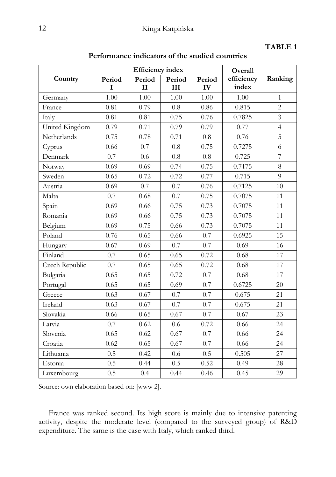# **TABLE 1**

|                |             | <b>Efficiency</b> index | Overall       |              |                     |                |
|----------------|-------------|-------------------------|---------------|--------------|---------------------|----------------|
| Country        | Period<br>L | Period<br>$\mathbf{H}$  | Period<br>III | Period<br>IV | efficiency<br>index | Ranking        |
| Germany        | 1.00        | 1.00                    | 1.00          | 1.00         | 1.00                | $\mathbf{1}$   |
| France         | 0.81        | 0.79                    | 0.8           | 0.86         | 0.815               | $\overline{2}$ |
| Italy          | 0.81        | 0.81                    | 0.75          | 0.76         | 0.7825              | $\overline{3}$ |
| United Kingdom | 0.79        | 0.71                    | 0.79          | 0.79         | 0.77                | $\overline{4}$ |
| Netherlands    | 0.75        | 0.78                    | 0.71          | 0.8          | 0.76                | 5              |
| Cyprus         | 0.66        | 0.7                     | 0.8           | 0.75         | 0.7275              | 6              |
| Denmark        | 0.7         | 0.6                     | 0.8           | 0.8          | 0.725               | $\overline{7}$ |
| Norway         | 0.69        | 0.69                    | 0.74          | 0.75         | 0.7175              | $\,8\,$        |
| Sweden         | 0.65        | 0.72                    | 0.72          | 0.77         | 0.715               | 9              |
| Austria        | 0.69        | 0.7                     | 0.7           | 0.76         | 0.7125              | 10             |
| Malta          | 0.7         | 0.68                    | 0.7           | 0.75         | 0.7075              | 11             |
| Spain          | 0.69        | 0.66                    | 0.75          | 0.73         | 0.7075              | 11             |
| Romania        | 0.69        | 0.66                    | 0.75          | 0.73         | 0.7075              | 11             |
| Belgium        | 0.69        | 0.75                    | 0.66          | 0.73         | 0.7075              | 11             |
| Poland         | 0.76        | 0.65                    | 0.66          | 0.7          | 0.6925              | 15             |
| Hungary        | 0.67        | 0.69                    | 0.7           | 0.7          | 0.69                | 16             |
| Finland        | 0.7         | 0.65                    | 0.65          | 0.72         | 0.68                | 17             |
| Czech Republic | 0.7         | 0.65                    | 0.65          | 0.72         | 0.68                | 17             |
| Bulgaria       | 0.65        | 0.65                    | 0.72          | 0.7          | 0.68                | 17             |
| Portugal       | 0.65        | 0.65                    | 0.69          | 0.7          | 0.6725              | 20             |
| Greece         | 0.63        | 0.67                    | 0.7           | 0.7          | 0.675               | 21             |
| Ireland        | 0.63        | 0.67                    | 0.7           | 0.7          | 0.675               | 21             |
| Slovakia       | 0.66        | 0.65                    | 0.67          | 0.7          | 0.67                | 23             |
| Latvia         | 0.7         | 0.62                    | 0.6           | 0.72         | 0.66                | 24             |
| Slovenia       | 0.65        | 0.62                    | 0.67          | 0.7          | 0.66                | 24             |
| Croatia        | 0.62        | 0.65                    | 0.67          | 0.7          | 0.66                | 24             |
| Lithuania      | 0.5         | 0.42                    | 0.6           | 0.5          | 0.505               | 27             |
| Estonia        | 0.5         | 0.44                    | 0.5           | 0.52         | 0.49                | 28             |
| Luxembourg     | 0.5         | 0.4                     | 0.44          | 0.46         | 0.45                | 29             |

**Performance indicators of the studied countries** 

Source: own elaboration based on: [www 2].

France was ranked second. Its high score is mainly due to intensive patenting activity, despite the moderate level (compared to the surveyed group) of R&D expenditure. The same is the case with Italy, which ranked third.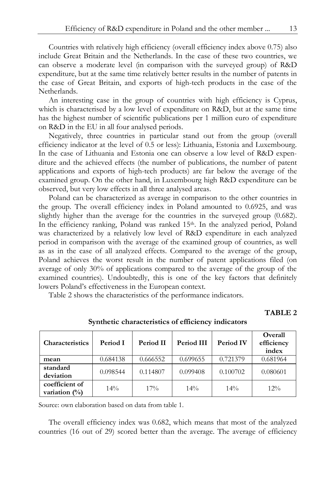Countries with relatively high efficiency (overall efficiency index above 0.75) also include Great Britain and the Netherlands. In the case of these two countries, we can observe a moderate level (in comparison with the surveyed group) of R&D expenditure, but at the same time relatively better results in the number of patents in the case of Great Britain, and exports of high-tech products in the case of the Netherlands.

An interesting case in the group of countries with high efficiency is Cyprus, which is characterised by a low level of expenditure on R&D, but at the same time has the highest number of scientific publications per 1 million euro of expenditure on R&D in the EU in all four analysed periods.

Negatively, three countries in particular stand out from the group (overall efficiency indicator at the level of 0.5 or less): Lithuania, Estonia and Luxembourg. In the case of Lithuania and Estonia one can observe a low level of R&D expenditure and the achieved effects (the number of publications, the number of patent applications and exports of high-tech products) are far below the average of the examined group. On the other hand, in Luxembourg high R&D expenditure can be observed, but very low effects in all three analysed areas.

Poland can be characterized as average in comparison to the other countries in the group. The overall efficiency index in Poland amounted to 0.6925, and was slightly higher than the average for the countries in the surveyed group (0.682). In the efficiency ranking, Poland was ranked 15<sup>th</sup>. In the analyzed period, Poland was characterized by a relatively low level of R&D expenditure in each analyzed period in comparison with the average of the examined group of countries, as well as as in the case of all analyzed effects. Compared to the average of the group, Poland achieves the worst result in the number of patent applications filed (on average of only 30% of applications compared to the average of the group of the examined countries). Undoubtedly, this is one of the key factors that definitely lowers Poland's effectiveness in the European context.

Table 2 shows the characteristics of the performance indicators.

**TABLE 2** 

| <b>Characteristics</b>             | Period I | Period II | Period III | <b>Period IV</b> | Overall<br>efficiency<br>index |
|------------------------------------|----------|-----------|------------|------------------|--------------------------------|
| mean                               | 0.684138 | 0.666552  | 0.699655   | 0.721379         | 0.681964                       |
| standard<br>deviation              | 0.098544 | 0.114807  | 0.099408   | 0.100702         | 0.080601                       |
| coefficient of<br>variation $(\%)$ | $14\%$   | $17\%$    | $14\%$     | $14\%$           | $12\%$                         |

**Synthetic characteristics of efficiency indicators** 

Source: own elaboration based on data from table 1.

The overall efficiency index was 0.682, which means that most of the analyzed countries (16 out of 29) scored better than the average. The average of efficiency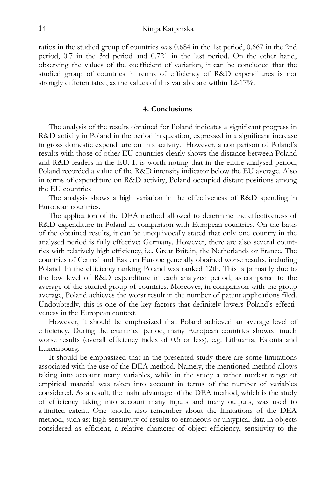ratios in the studied group of countries was 0.684 in the 1st period, 0.667 in the 2nd period, 0.7 in the 3rd period and 0.721 in the last period. On the other hand, observing the values of the coefficient of variation, it can be concluded that the studied group of countries in terms of efficiency of R&D expenditures is not strongly differentiated, as the values of this variable are within 12-17%.

## **4. Conclusions**

The analysis of the results obtained for Poland indicates a significant progress in R&D activity in Poland in the period in question, expressed in a significant increase in gross domestic expenditure on this activity. However, a comparison of Poland's results with those of other EU countries clearly shows the distance between Poland and R&D leaders in the EU. It is worth noting that in the entire analysed period, Poland recorded a value of the R&D intensity indicator below the EU average. Also in terms of expenditure on R&D activity, Poland occupied distant positions among the EU countries

The analysis shows a high variation in the effectiveness of R&D spending in European countries.

The application of the DEA method allowed to determine the effectiveness of R&D expenditure in Poland in comparison with European countries. On the basis of the obtained results, it can be unequivocally stated that only one country in the analysed period is fully effective: Germany. However, there are also several countries with relatively high efficiency, i.e. Great Britain, the Netherlands or France. The countries of Central and Eastern Europe generally obtained worse results, including Poland. In the efficiency ranking Poland was ranked 12th. This is primarily due to the low level of R&D expenditure in each analyzed period, as compared to the average of the studied group of countries. Moreover, in comparison with the group average, Poland achieves the worst result in the number of patent applications filed. Undoubtedly, this is one of the key factors that definitely lowers Poland's effectiveness in the European context.

However, it should be emphasized that Poland achieved an average level of efficiency. During the examined period, many European countries showed much worse results (overall efficiency index of 0.5 or less), e.g. Lithuania, Estonia and Luxembourg.

It should be emphasized that in the presented study there are some limitations associated with the use of the DEA method. Namely, the mentioned method allows taking into account many variables, while in the study a rather modest range of empirical material was taken into account in terms of the number of variables considered. As a result, the main advantage of the DEA method, which is the study of efficiency taking into account many inputs and many outputs, was used to a limited extent. One should also remember about the limitations of the DEA method, such as: high sensitivity of results to erroneous or untypical data in objects considered as efficient, a relative character of object efficiency, sensitivity to the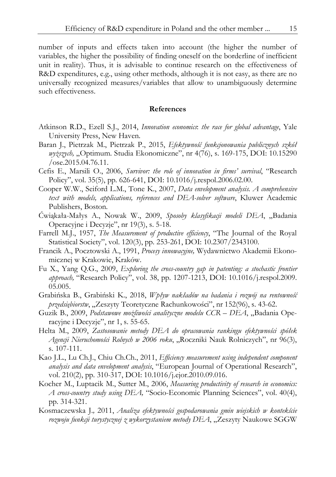number of inputs and effects taken into account (the higher the number of variables, the higher the possibility of finding oneself on the borderline of inefficient unit in reality). Thus, it is advisable to continue research on the effectiveness of R&D expenditures, e.g., using other methods, although it is not easy, as there are no universally recognized measures/variables that allow to unambiguously determine such effectiveness.

## **References**

- Atkinson R.D., Ezell S.J., 2014, *Innovation economics*: *the race for global advantage*, Yale University Press, New Haven.
- Baran J., Pietrzak M., Pietrzak P., 2015, *Efektywność funkcjonowania publicznych szkół wyższych, "*Optimum. Studia Ekonomiczne", nr 4(76), s. 169-175, DOI: 10.15290  $\sqrt{$  ose.2015.04.76.11.
- Cefis E., Marsili O., 2006, *Survivor: the role of innovation in firms' survival*, "Research Policy", vol. 35(5), pp. 626-641, DOI: 10.1016/j.respol.2006.02.00.
- Cooper W.W., Seiford L.M., Tone K., 2007, *Data envelopment analysis. A comprehensive text with models, applications, references and DEA-solver software*, Kluwer Academic Publishers, Boston.
- Ćwiąkała-Małys A., Nowak W., 2009, Sposoby klasyfikacji modeli DEA, "Badania Operacyjne i Decyzje", nr 19(3), s. 5-18.
- Farrell M.J., 1957, *The Measurement of productive efficiency*, "The Journal of the Royal Statistical Society", vol. 120(3), pp. 253-261, DOI: 10.2307/2343100.
- Francik A., Pocztowski A., 1991, *Procesy innowacyjne,* Wydawnictwo Akademii Ekonomicznej w Krakowie, Kraków.
- Fu X., Yang Q.G., 2009, *Exploring the cross-country gap in patenting: a stochastic frontier approach,* "Research Policy", vol. 38, pp. 1207-1213, DOI: 10.1016/j.respol.2009. 05.005.
- Grabińska B., Grabiński K., 2018, *Wpływ nakładów na badania i rozwój na rentowność*  przedsiębiorstw, "Zeszyty Teoretyczne Rachunkowości", nr 152(96), s. 43-62.
- Guzik B., 2009, *Podstawowe możliwości analityczne modelu CCR DEA*, "Badania Operacyjne i Decyzje", nr 1, s. 55-65.
- Helta M., 2009, *Zastosowanie metody DEA do opracowania rankingu efektywności spółek*  Agencji Nieruchomości Rolnych w 2006 roku, "Roczniki Nauk Rolniczych", nr 96(3), s. 107-111.
- Kao J.L., Lu Ch.J., Chiu Ch.Ch., 2011, *Efficiency measurement using independent component analysis and data envelopment analysis*, "European Journal of Operational Research", vol. 210(2), pp. 310-317, DOI: 10.1016/j.ejor.2010.09.016.
- Kocher M., Luptacik M., Sutter M., 2006, *Measuring productivity of research in economics: A cross-country study using DEA,* "Socio-Economic Planning Sciences", vol. 40(4), pp. 314-321.
- Kosmaczewska J.*,* 2011, *Analiza efektywności gospodarowania gmin wiejskich w kontekście*  rozwoju funkcji turystycznej z wykorzystaniem metody DEA, "Zeszyty Naukowe SGGW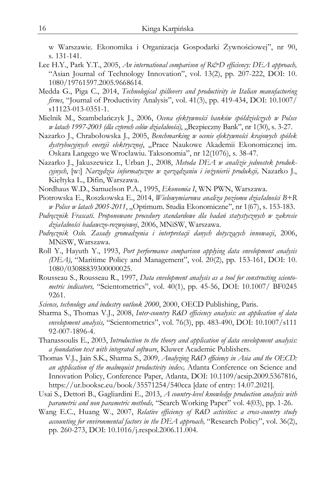w Warszawie. Ekonomika i Organizacja Gospodarki Żywnościowej", nr 90, s. 131-141.

- Lee H.Y., Park Y.T., 2005, *An international comparison of R&D efficiency: DEA approach,* "Asian Journal of Technology Innovation", vol. 13(2), pp. 207-222, DOI: 10. 1080/19761597.2005.9668614.
- Medda G., Piga C., 2014, *Technological spillovers and productivity in Italian manufacturing firms*, "Journal of Productivity Analysis", vol. 41(3), pp. 419-434, DOI: 10.1007/ s11123-013-0351-1.
- Mielnik M., Szambelańczyk J., 2006, *Ocena efektywności banków spółdzielczych w Polsce w latach 1997-2003 (dla czterech celów działalności)*, "Bezpieczny Bank", nr 1(30), s. 3-27.
- Nazarko J., Chrabołowska J., 2005, *Benchmarking w ocenie efektywności krajowych spółek dystrybucyjnych energii elektrycznej*, "Prace Naukowe Akademii Ekonomicznej im. Oskara Langego we Wrocławiu. Taksonomia", nr 12(1076), s. 38-47.
- Nazarko J., Jakuszewicz I., Urban J., 2008, *Metoda DEA w analizie jednostek produkcyjnych*, [w:] *Narzędzia informatyczne w zarządzaniu i inżynierii produkcji,* Nazarko J., Kiełtyka L., Difin, Warszawa.
- Nordhaus W.D., Samuelson P.A., 1995, *Ekonomia I*, WN PWN, Warszawa.
- Piotrowska E., Roszkowska E., 2014, *Wielowymiarowa analiza poziomu działalności B+R w Polsce w latach 2005-2011*, "Optimum. Studia Ekonomiczne", nr 1(67), s. 153-183.
- *Podręcznik Frascati. Proponowane procedury standardowe dla badań statystycznych w zakresie działalności badawczo-rozwojowej*, 2006, MNiSW, Warszawa.
- *Podręcznik Oslo. Zasady gromadzenia i interpretacji danych dotyczących innowacji*, 2006, MNiSW, Warszawa.
- Roll Y., Hayuth Y., 1993, *Port performance comparison applying data envelopment analysis (DEA)*, "Maritime Policy and Management", vol. 20(2), pp. 153-161, DOI: 10. 1080/03088839300000025.
- Rousseau S., Rousseau R., 1997, *Data envelopment analysis as a tool for constructing scientometric indicators,* "Scientometrics", vol. 40(1), pp. 45-56, DOI: 10.1007/ BF0245 9261.
- *Science, technology and industry outlook 2000*, 2000, OECD Publishing, Paris.
- Sharma S., Thomas V.J., 2008, *Inter-country R*&*D efficiency analysis: an application of data envelopment analysis,* "Scientometrics", vol. 76(3), pp. 483-490, DOI: 10.1007/s111 92-007-1896-4.
- Thanassoulis E., 2003, *Introduction to the theory and application of data envelopment analysis: a foundation text with integrated software*, Kluwer Academic Publishers.
- Thomas V.J., Jain S.K., Sharma S., 2009, *Analyzing R*&*D efficiency in Asia and the OECD: an application of the malmquist productivity index,* Atlanta Conference on Science and Innovation Policy, Conference Paper, Atlanta, DOI: 10.1109/acsip.2009.5367816, https://ur.booksc.eu/book/35571254/540cca [date of entry: 14.07.2021].
- Usai S., Dettori B., Gagliardini E., 2013, *A country-level knowledge production analysis with parametric and non parametric methods,* "Search Working Paper" vol. 4(03), pp. 1-26.
- Wang E.C., Huang W., 2007, *Relative efficiency of R*&*D activities: a cross-country study accounting for environmental factors in the DEA approach,* "Research Policy", vol. 36(2), pp. 260-273, DOI: 10.1016/j.respol.2006.11.004.